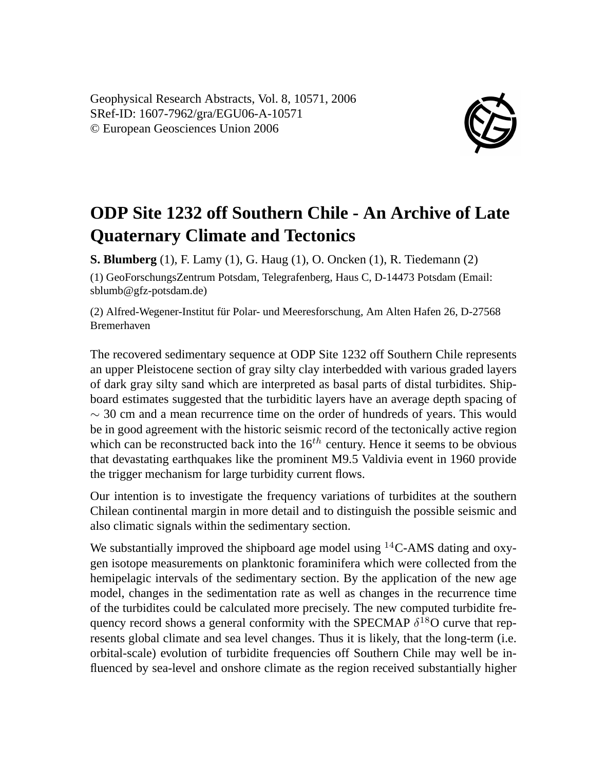Geophysical Research Abstracts, Vol. 8, 10571, 2006 SRef-ID: 1607-7962/gra/EGU06-A-10571 © European Geosciences Union 2006



## **ODP Site 1232 off Southern Chile - An Archive of Late Quaternary Climate and Tectonics**

**S. Blumberg** (1), F. Lamy (1), G. Haug (1), O. Oncken (1), R. Tiedemann (2) (1) GeoForschungsZentrum Potsdam, Telegrafenberg, Haus C, D-14473 Potsdam (Email: sblumb@gfz-potsdam.de)

(2) Alfred-Wegener-Institut für Polar- und Meeresforschung, Am Alten Hafen 26, D-27568 Bremerhaven

The recovered sedimentary sequence at ODP Site 1232 off Southern Chile represents an upper Pleistocene section of gray silty clay interbedded with various graded layers of dark gray silty sand which are interpreted as basal parts of distal turbidites. Shipboard estimates suggested that the turbiditic layers have an average depth spacing of  $\sim$  30 cm and a mean recurrence time on the order of hundreds of years. This would be in good agreement with the historic seismic record of the tectonically active region which can be reconstructed back into the  $16<sup>th</sup>$  century. Hence it seems to be obvious that devastating earthquakes like the prominent M9.5 Valdivia event in 1960 provide the trigger mechanism for large turbidity current flows.

Our intention is to investigate the frequency variations of turbidites at the southern Chilean continental margin in more detail and to distinguish the possible seismic and also climatic signals within the sedimentary section.

We substantially improved the shipboard age model using  $^{14}C$ -AMS dating and oxygen isotope measurements on planktonic foraminifera which were collected from the hemipelagic intervals of the sedimentary section. By the application of the new age model, changes in the sedimentation rate as well as changes in the recurrence time of the turbidites could be calculated more precisely. The new computed turbidite frequency record shows a general conformity with the SPECMAP  $\delta^{18}O$  curve that represents global climate and sea level changes. Thus it is likely, that the long-term (i.e. orbital-scale) evolution of turbidite frequencies off Southern Chile may well be influenced by sea-level and onshore climate as the region received substantially higher